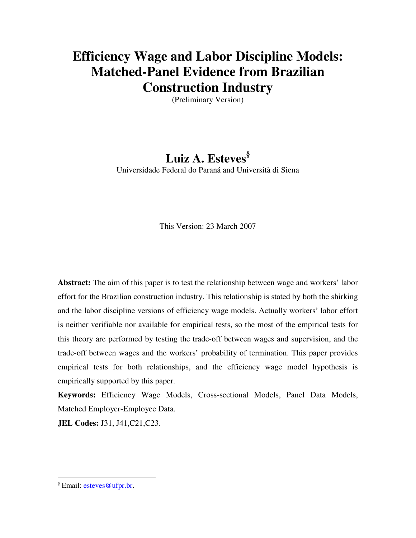# **Efficiency Wage and Labor Discipline Models: Matched-Panel Evidence from Brazilian Construction Industry**

(Preliminary Version)

## **Luiz A. Esteves§** Universidade Federal do Paraná and Università di Siena

This Version: 23 March 2007

**Abstract:** The aim of this paper is to test the relationship between wage and workers' labor effort for the Brazilian construction industry. This relationship is stated by both the shirking and the labor discipline versions of efficiency wage models. Actually workers' labor effort is neither verifiable nor available for empirical tests, so the most of the empirical tests for this theory are performed by testing the trade-off between wages and supervision, and the trade-off between wages and the workers' probability of termination. This paper provides empirical tests for both relationships, and the efficiency wage model hypothesis is empirically supported by this paper.

**Keywords:** Efficiency Wage Models, Cross-sectional Models, Panel Data Models, Matched Employer-Employee Data.

**JEL Codes:** J31, J41,C21,C23.

 $\overline{a}$ 

<sup>§</sup> Email: esteves@ufpr.br.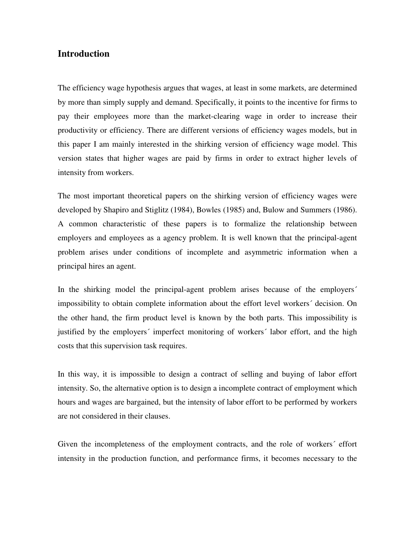## **Introduction**

The efficiency wage hypothesis argues that wages, at least in some markets, are determined by more than simply supply and demand. Specifically, it points to the incentive for firms to pay their employees more than the market-clearing wage in order to increase their productivity or efficiency. There are different versions of efficiency wages models, but in this paper I am mainly interested in the shirking version of efficiency wage model. This version states that higher wages are paid by firms in order to extract higher levels of intensity from workers.

The most important theoretical papers on the shirking version of efficiency wages were developed by Shapiro and Stiglitz (1984), Bowles (1985) and, Bulow and Summers (1986). A common characteristic of these papers is to formalize the relationship between employers and employees as a agency problem. It is well known that the principal-agent problem arises under conditions of incomplete and asymmetric information when a principal hires an agent.

In the shirking model the principal-agent problem arises because of the employers´ impossibility to obtain complete information about the effort level workers´ decision. On the other hand, the firm product level is known by the both parts. This impossibility is justified by the employers' imperfect monitoring of workers' labor effort, and the high costs that this supervision task requires.

In this way, it is impossible to design a contract of selling and buying of labor effort intensity. So, the alternative option is to design a incomplete contract of employment which hours and wages are bargained, but the intensity of labor effort to be performed by workers are not considered in their clauses.

Given the incompleteness of the employment contracts, and the role of workers´ effort intensity in the production function, and performance firms, it becomes necessary to the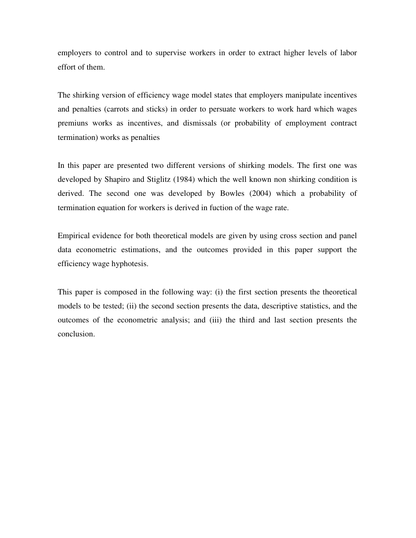employers to control and to supervise workers in order to extract higher levels of labor effort of them.

The shirking version of efficiency wage model states that employers manipulate incentives and penalties (carrots and sticks) in order to persuate workers to work hard which wages premiuns works as incentives, and dismissals (or probability of employment contract termination) works as penalties

In this paper are presented two different versions of shirking models. The first one was developed by Shapiro and Stiglitz (1984) which the well known non shirking condition is derived. The second one was developed by Bowles (2004) which a probability of termination equation for workers is derived in fuction of the wage rate.

Empirical evidence for both theoretical models are given by using cross section and panel data econometric estimations, and the outcomes provided in this paper support the efficiency wage hyphotesis.

This paper is composed in the following way: (i) the first section presents the theoretical models to be tested; (ii) the second section presents the data, descriptive statistics, and the outcomes of the econometric analysis; and (iii) the third and last section presents the conclusion.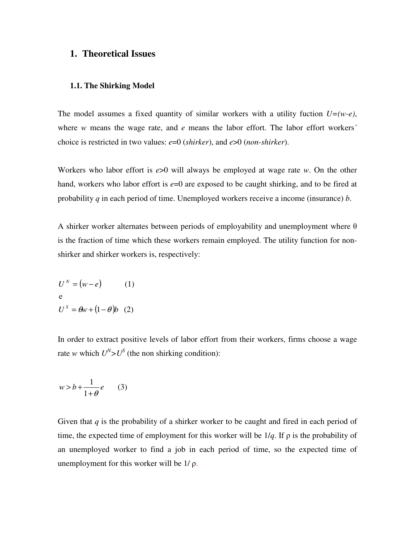### **1. Theoretical Issues**

#### **1.1. The Shirking Model**

The model assumes a fixed quantity of similar workers with a utility fuction *U=(w-e)*, where *w* means the wage rate, and *e* means the labor effort. The labor effort workers' choice is restricted in two values: *e*=0 (*shirker*), and *e*>0 (*non-shirker*).

Workers who labor effort is *e*>0 will always be employed at wage rate *w*. On the other hand, workers who labor effort is  $e=0$  are exposed to be caught shirking, and to be fired at probability *q* in each period of time. Unemployed workers receive a income (insurance) *b*.

A shirker worker alternates between periods of employability and unemployment where  $\theta$ is the fraction of time which these workers remain employed. The utility function for nonshirker and shirker workers is, respectively:

$$
U^N = (w - e)
$$
 (1)  
e  

$$
U^S = \theta w + (1 - \theta)b
$$
 (2)

In order to extract positive levels of labor effort from their workers, firms choose a wage rate *w* which  $U^N > U^S$  (the non shirking condition):

$$
w > b + \frac{1}{1 + \theta}e \qquad (3)
$$

Given that *q* is the probability of a shirker worker to be caught and fired in each period of time, the expected time of employment for this worker will be  $1/q$ . If  $\rho$  is the probability of an unemployed worker to find a job in each period of time, so the expected time of unemployment for this worker will be  $1/\rho$ .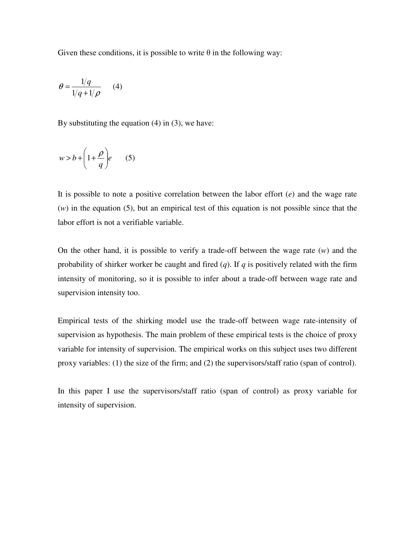Given these conditions, it is possible to write  $\theta$  in the following way:

$$
\theta = \frac{1/q}{1/q + 1/\rho} \qquad (4)
$$

By substituting the equation (4) in (3), we have:

$$
w > b + \left(1 + \frac{\rho}{q}\right) e \qquad (5)
$$

It is possible to note a positive correlation between the labor effort (*e*) and the wage rate (*w*) in the equation (5), but an empirical test of this equation is not possible since that the labor effort is not a verifiable variable.

On the other hand, it is possible to verify a trade-off between the wage rate (*w*) and the probability of shirker worker be caught and fired (*q*). If *q* is positively related with the firm intensity of monitoring, so it is possible to infer about a trade-off between wage rate and supervision intensity too.

Empirical tests of the shirking model use the trade-off between wage rate-intensity of supervision as hypothesis. The main problem of these empirical tests is the choice of proxy variable for intensity of supervision. The empirical works on this subject uses two different proxy variables: (1) the size of the firm; and (2) the supervisors/staff ratio (span of control).

In this paper I use the supervisors/staff ratio (span of control) as proxy variable for intensity of supervision.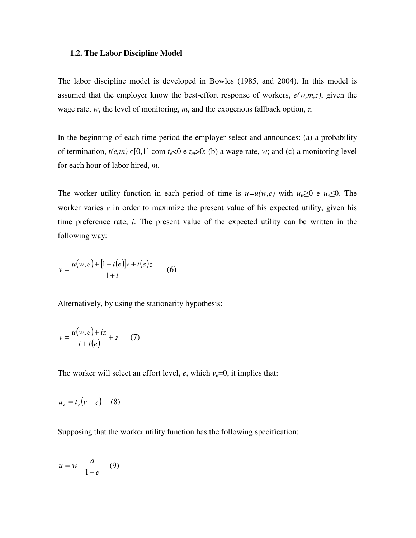#### **1.2. The Labor Discipline Model**

The labor discipline model is developed in Bowles (1985, and 2004). In this model is assumed that the employer know the best-effort response of workers, *e(w,m,z)*, given the wage rate, *w*, the level of monitoring, *m*, and the exogenous fallback option, *z*.

In the beginning of each time period the employer select and announces: (a) a probability of termination,  $t(e,m) \in [0,1]$  com  $t_e < 0$  e  $t_m > 0$ ; (b) a wage rate, *w*; and (c) a monitoring level for each hour of labor hired, *m*.

The worker utility function in each period of time is  $u=u(w,e)$  with  $u_w\geq 0$  e  $u_e\leq 0$ . The worker varies *e* in order to maximize the present value of his expected utility, given his time preference rate, *i*. The present value of the expected utility can be written in the following way:

$$
v = \frac{u(w, e) + [1 - t(e)]v + t(e)z}{1 + i}
$$
 (6)

Alternatively, by using the stationarity hypothesis:

$$
v = \frac{u(w,e) + iz}{i + t(e)} + z \qquad (7)
$$

The worker will select an effort level,  $e$ , which  $v_e=0$ , it implies that:

$$
u_e = t_e (v - z) \quad (8)
$$

Supposing that the worker utility function has the following specification:

$$
u = w - \frac{a}{1 - e} \quad (9)
$$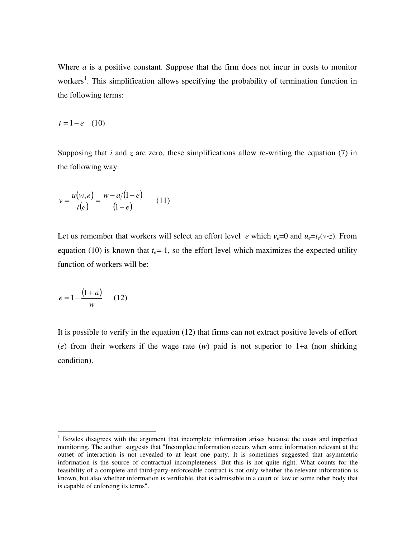Where *a* is a positive constant. Suppose that the firm does not incur in costs to monitor workers<sup>1</sup>. This simplification allows specifying the probability of termination function in the following terms:

$$
t = 1 - e \quad (10)
$$

Supposing that *i* and *z* are zero, these simplifications allow re-writing the equation (7) in the following way:

$$
v = \frac{u(w, e)}{t(e)} = \frac{w - a/(1 - e)}{(1 - e)} \qquad (11)
$$

Let us remember that workers will select an effort level *e* which  $v_e = 0$  and  $u_e = t_e(v-z)$ . From equation (10) is known that  $t_e = -1$ , so the effort level which maximizes the expected utility function of workers will be:

$$
e = 1 - \frac{(1+a)}{w} \qquad (12)
$$

It is possible to verify in the equation (12) that firms can not extract positive levels of effort (*e*) from their workers if the wage rate (*w*) paid is not superior to 1+a (non shirking condition).

<sup>&</sup>lt;sup>1</sup> Bowles disagrees with the argument that incomplete information arises because the costs and imperfect monitoring. The author suggests that "Incomplete information occurs when some information relevant at the outset of interaction is not revealed to at least one party. It is sometimes suggested that asymmetric information is the source of contractual incompleteness. But this is not quite right. What counts for the feasibility of a complete and third-party-enforceable contract is not only whether the relevant information is known, but also whether information is verifiable, that is admissible in a court of law or some other body that is capable of enforcing its terms".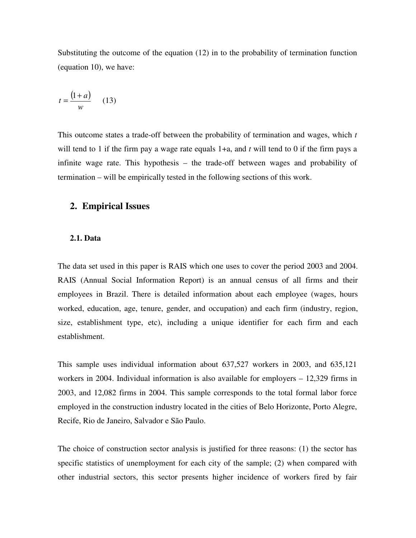Substituting the outcome of the equation (12) in to the probability of termination function (equation 10), we have:

$$
t = \frac{\left(1 + a\right)}{w} \qquad (13)
$$

This outcome states a trade-off between the probability of termination and wages, which *t* will tend to 1 if the firm pay a wage rate equals 1+a, and *t* will tend to 0 if the firm pays a infinite wage rate. This hypothesis – the trade-off between wages and probability of termination – will be empirically tested in the following sections of this work.

## **2. Empirical Issues**

#### **2.1. Data**

The data set used in this paper is RAIS which one uses to cover the period 2003 and 2004. RAIS (Annual Social Information Report) is an annual census of all firms and their employees in Brazil. There is detailed information about each employee (wages, hours worked, education, age, tenure, gender, and occupation) and each firm (industry, region, size, establishment type, etc), including a unique identifier for each firm and each establishment.

This sample uses individual information about 637,527 workers in 2003, and 635,121 workers in 2004. Individual information is also available for employers – 12,329 firms in 2003, and 12,082 firms in 2004. This sample corresponds to the total formal labor force employed in the construction industry located in the cities of Belo Horizonte, Porto Alegre, Recife, Rio de Janeiro, Salvador e São Paulo.

The choice of construction sector analysis is justified for three reasons: (1) the sector has specific statistics of unemployment for each city of the sample; (2) when compared with other industrial sectors, this sector presents higher incidence of workers fired by fair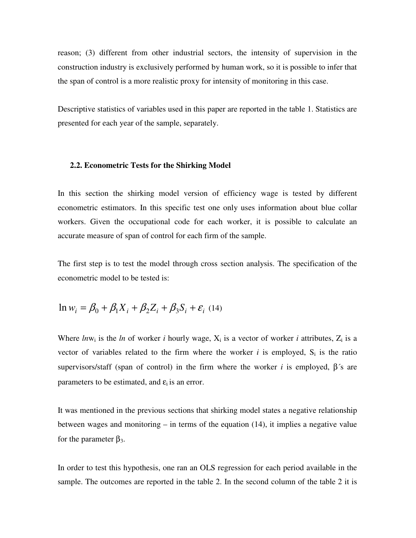reason; (3) different from other industrial sectors, the intensity of supervision in the construction industry is exclusively performed by human work, so it is possible to infer that the span of control is a more realistic proxy for intensity of monitoring in this case.

Descriptive statistics of variables used in this paper are reported in the table 1. Statistics are presented for each year of the sample, separately.

#### **2.2. Econometric Tests for the Shirking Model**

In this section the shirking model version of efficiency wage is tested by different econometric estimators. In this specific test one only uses information about blue collar workers. Given the occupational code for each worker, it is possible to calculate an accurate measure of span of control for each firm of the sample.

The first step is to test the model through cross section analysis. The specification of the econometric model to be tested is:

$$
\ln w_i = \beta_0 + \beta_1 X_i + \beta_2 Z_i + \beta_3 S_i + \varepsilon_i
$$
 (14)

Where  $ln w_i$  is the  $ln$  of worker *i* hourly wage,  $X_i$  is a vector of worker *i* attributes,  $Z_i$  is a vector of variables related to the firm where the worker  $i$  is employed,  $S_i$  is the ratio supervisors/staff (span of control) in the firm where the worker *i* is employed,  $\beta$ 's are parameters to be estimated, and  $\varepsilon_i$  is an error.

It was mentioned in the previous sections that shirking model states a negative relationship between wages and monitoring – in terms of the equation (14), it implies a negative value for the parameter  $β_3$ .

In order to test this hypothesis, one ran an OLS regression for each period available in the sample. The outcomes are reported in the table 2. In the second column of the table 2 it is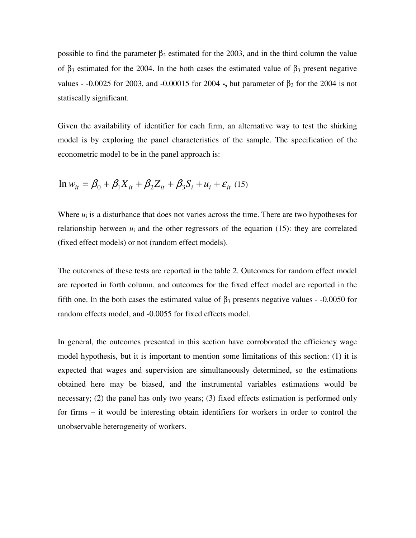possible to find the parameter  $\beta_3$  estimated for the 2003, and in the third column the value of  $β_3$  estimated for the 2004. In the both cases the estimated value of  $β_3$  present negative values -  $-0.0025$  for 2003, and  $-0.00015$  for 2004 -, but parameter of  $\beta_3$  for the 2004 is not statiscally significant.

Given the availability of identifier for each firm, an alternative way to test the shirking model is by exploring the panel characteristics of the sample. The specification of the econometric model to be in the panel approach is:

$$
\ln w_{it} = \beta_0 + \beta_1 X_{it} + \beta_2 Z_{it} + \beta_3 S_i + u_i + \varepsilon_{it}
$$
 (15)

Where  $u_i$  is a disturbance that does not varies across the time. There are two hypotheses for relationship between  $u_i$  and the other regressors of the equation  $(15)$ : they are correlated (fixed effect models) or not (random effect models).

The outcomes of these tests are reported in the table 2. Outcomes for random effect model are reported in forth column, and outcomes for the fixed effect model are reported in the fifth one. In the both cases the estimated value of  $\beta_3$  presents negative values - -0.0050 for random effects model, and -0.0055 for fixed effects model.

In general, the outcomes presented in this section have corroborated the efficiency wage model hypothesis, but it is important to mention some limitations of this section: (1) it is expected that wages and supervision are simultaneously determined, so the estimations obtained here may be biased, and the instrumental variables estimations would be necessary; (2) the panel has only two years; (3) fixed effects estimation is performed only for firms – it would be interesting obtain identifiers for workers in order to control the unobservable heterogeneity of workers.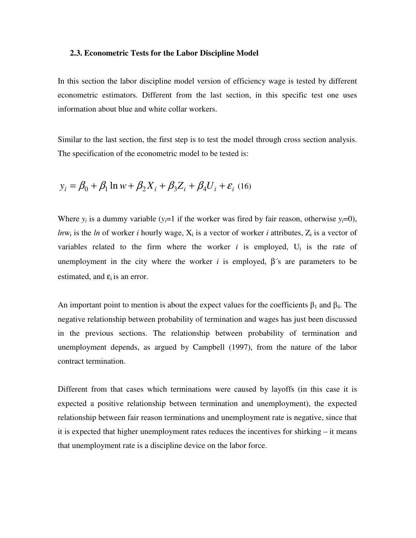#### **2.3. Econometric Tests for the Labor Discipline Model**

In this section the labor discipline model version of efficiency wage is tested by different econometric estimators. Different from the last section, in this specific test one uses information about blue and white collar workers.

Similar to the last section, the first step is to test the model through cross section analysis. The specification of the econometric model to be tested is:

$$
y_i = \beta_0 + \beta_1 \ln w + \beta_2 X_i + \beta_3 Z_i + \beta_4 U_i + \varepsilon_i
$$
 (16)

Where  $y_i$  is a dummy variable  $(y_i=1$  if the worker was fired by fair reason, otherwise  $y_i=0$ ),  $ln w_i$  is the *ln* of worker *i* hourly wage,  $X_i$  is a vector of worker *i* attributes,  $Z_i$  is a vector of variables related to the firm where the worker  $i$  is employed,  $U_i$  is the rate of unemployment in the city where the worker  $i$  is employed,  $\beta$ 's are parameters to be estimated, and  $\varepsilon_i$  is an error.

An important point to mention is about the expect values for the coefficients  $\beta_1$  and  $\beta_4$ . The negative relationship between probability of termination and wages has just been discussed in the previous sections. The relationship between probability of termination and unemployment depends, as argued by Campbell (1997), from the nature of the labor contract termination.

Different from that cases which terminations were caused by layoffs (in this case it is expected a positive relationship between termination and unemployment), the expected relationship between fair reason terminations and unemployment rate is negative, since that it is expected that higher unemployment rates reduces the incentives for shirking – it means that unemployment rate is a discipline device on the labor force.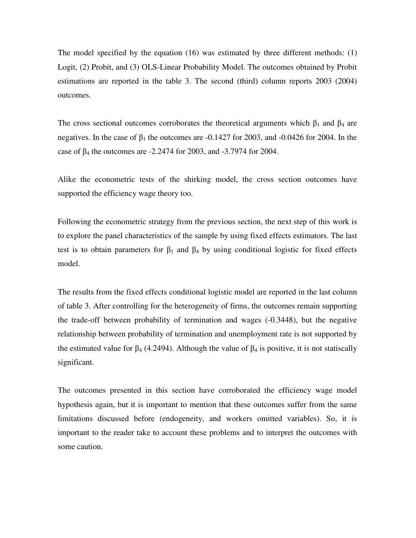The model specified by the equation (16) was estimated by three different methods: (1) Logit, (2) Probit, and (3) OLS-Linear Probability Model. The outcomes obtained by Probit estimations are reported in the table 3. The second (third) column reports 2003 (2004) outcomes.

The cross sectional outcomes corroborates the theoretical arguments which  $\beta_1$  and  $\beta_4$  are negatives. In the case of  $\beta_1$  the outcomes are -0.1427 for 2003, and -0.0426 for 2004. In the case of  $\beta_4$  the outcomes are -2.2474 for 2003, and -3.7974 for 2004.

Alike the econometric tests of the shirking model, the cross section outcomes have supported the efficiency wage theory too.

Following the econometric strategy from the previous section, the next step of this work is to explore the panel characteristics of the sample by using fixed effects estimators. The last test is to obtain parameters for  $\beta_1$  and  $\beta_4$  by using conditional logistic for fixed effects model.

The results from the fixed effects conditional logistic model are reported in the last column of table 3. After controlling for the heterogeneity of firms, the outcomes remain supporting the trade-off between probability of termination and wages (-0.3448), but the negative relationship between probability of termination and unemployment rate is not supported by the estimated value for  $\beta_4$  (4.2494). Although the value of  $\beta_4$  is positive, it is not statiscally significant.

The outcomes presented in this section have corroborated the efficiency wage model hypothesis again, but it is important to mention that these outcomes suffer from the same limitations discussed before (endogeneity, and workers omitted variables). So, it is important to the reader take to account these problems and to interpret the outcomes with some caution.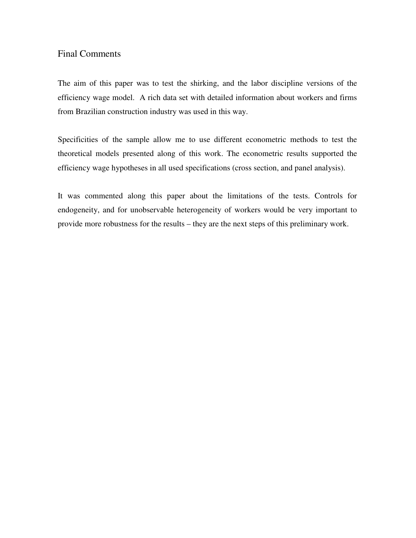## Final Comments

The aim of this paper was to test the shirking, and the labor discipline versions of the efficiency wage model. A rich data set with detailed information about workers and firms from Brazilian construction industry was used in this way.

Specificities of the sample allow me to use different econometric methods to test the theoretical models presented along of this work. The econometric results supported the efficiency wage hypotheses in all used specifications (cross section, and panel analysis).

It was commented along this paper about the limitations of the tests. Controls for endogeneity, and for unobservable heterogeneity of workers would be very important to provide more robustness for the results – they are the next steps of this preliminary work.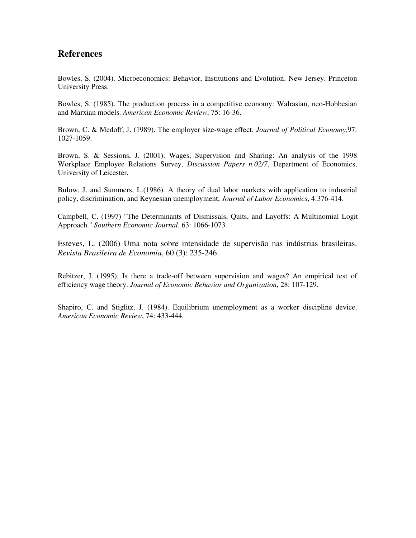## **References**

Bowles, S. (2004). Microeconomics: Behavior, Institutions and Evolution. New Jersey. Princeton University Press.

Bowles, S. (1985). The production process in a competitive economy: Walrasian, neo-Hobbesian and Marxian models. *American Economic Review*, 75: 16-36.

Brown, C. & Medoff, J. (1989). The employer size-wage effect. *Journal of Political Economy,*97: 1027-1059.

Brown, S. & Sessions, J. (2001). Wages, Supervision and Sharing: An analysis of the 1998 Workplace Employee Relations Survey, *Discussion Papers n.02/7*, Department of Economics, University of Leicester.

Bulow, J. and Summers, L.(1986). A theory of dual labor markets with application to industrial policy, discrimination, and Keynesian unemployment, *Journal of Labor Economics*, 4:376-414.

Campbell, C. (1997) "The Determinants of Dismissals, Quits, and Layoffs: A Multinomial Logit Approach." *Southern Economic Journal*, 63: 1066-1073.

Esteves, L. (2006) Uma nota sobre intensidade de supervisão nas indústrias brasileiras. *Revista Brasileira de Economia*, 60 (3): 235-246.

Rebitzer, J. (1995). Is there a trade-off between supervision and wages? An empirical test of efficiency wage theory. *Journal of Economic Behavior and Organization*, 28: 107-129.

Shapiro, C. and Stiglitz, J. (1984). Equilibrium unemployment as a worker discipline device. *American Economic Review*, 74: 433-444.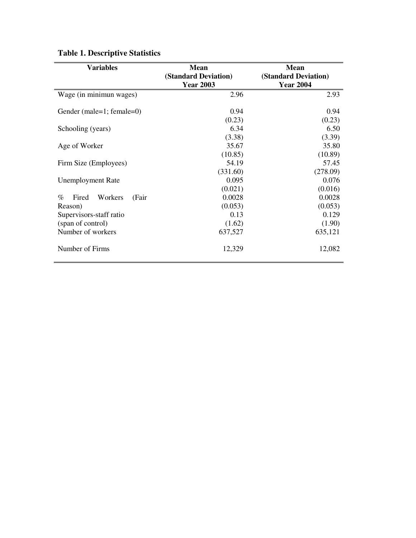| <b>Variables</b>                  | <b>Mean</b>                 | <b>Mean</b>          |  |
|-----------------------------------|-----------------------------|----------------------|--|
|                                   | <b>(Standard Deviation)</b> | (Standard Deviation) |  |
|                                   | <b>Year 2003</b>            | <b>Year 2004</b>     |  |
| Wage (in minimun wages)           | 2.96                        | 2.93                 |  |
| Gender (male=1; female=0)         | 0.94                        | 0.94                 |  |
|                                   | (0.23)                      | (0.23)               |  |
| Schooling (years)                 | 6.34                        | 6.50                 |  |
|                                   | (3.38)                      | (3.39)               |  |
| Age of Worker                     | 35.67                       | 35.80                |  |
|                                   | (10.85)                     | (10.89)              |  |
| Firm Size (Employees)             | 54.19                       | 57.45                |  |
|                                   | (331.60)                    | (278.09)             |  |
| <b>Unemployment Rate</b>          | 0.095                       | 0.076                |  |
|                                   | (0.021)                     | (0.016)              |  |
| $\%$<br>Fired<br>Workers<br>(Fair | 0.0028                      | 0.0028               |  |
| Reason)                           | (0.053)                     | (0.053)              |  |
| Supervisors-staff ratio           | 0.13                        | 0.129                |  |
| (span of control)                 | (1.62)                      | (1.90)               |  |
| Number of workers                 | 637,527                     | 635,121              |  |
| Number of Firms                   | 12,329                      | 12,082               |  |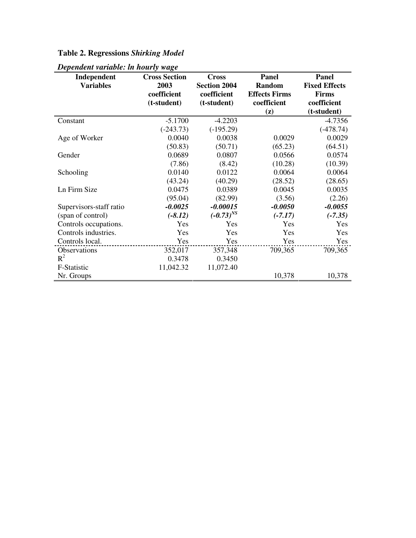## **Table 2. Regressions** *Shirking Model*

| acht ranabha. In hoarty wage<br>Independent | <b>Cross Section</b> | <b>Cross</b>        | Panel                | Panel                |
|---------------------------------------------|----------------------|---------------------|----------------------|----------------------|
| <b>Variables</b>                            | 2003                 | <b>Section 2004</b> | <b>Random</b>        | <b>Fixed Effects</b> |
|                                             | coefficient          | coefficient         | <b>Effects Firms</b> | <b>Firms</b>         |
|                                             | (t-student)          | (t-student)         | coefficient          | coefficient          |
|                                             |                      |                     | $(\mathbf{z})$       | (t-student)          |
| Constant                                    | $-5.1700$            | $-4.2203$           |                      | $-4.7356$            |
|                                             | $(-243.73)$          | $(-195.29)$         |                      | $(-478.74)$          |
| Age of Worker                               | 0.0040               | 0.0038              | 0.0029               | 0.0029               |
|                                             | (50.83)              | (50.71)             | (65.23)              | (64.51)              |
| Gender                                      | 0.0689               | 0.0807              | 0.0566               | 0.0574               |
|                                             | (7.86)               | (8.42)              | (10.28)              | (10.39)              |
| Schooling                                   | 0.0140               | 0.0122              | 0.0064               | 0.0064               |
|                                             | (43.24)              | (40.29)             | (28.52)              | (28.65)              |
| Ln Firm Size                                | 0.0475               | 0.0389              | 0.0045               | 0.0035               |
|                                             | (95.04)              | (82.99)             | (3.56)               | (2.26)               |
| Supervisors-staff ratio                     | $-0.0025$            | $-0.00015$          | $-0.0050$            | $-0.0055$            |
| (span of control)                           | $(-8.12)$            | $(-0.73)^{NS}$      | $(-7.17)$            | $(-7.35)$            |
| Controls occupations.                       | Yes                  | Yes                 | Yes                  | Yes                  |
| Controls industries.                        | Yes                  | Yes                 | Yes                  | Yes                  |
| Controls local.                             | Yes                  | Yes                 | Yes                  | Yes                  |
| Observations                                | 352,017              | 357,348             | 709,365              | 709,365              |
| $R^2$                                       | 0.3478               | 0.3450              |                      |                      |
| F-Statistic                                 | 11,042.32            | 11,072.40           |                      |                      |
| Nr. Groups                                  |                      |                     | 10,378               | 10,378               |

*Dependent variable: ln hourly wage*